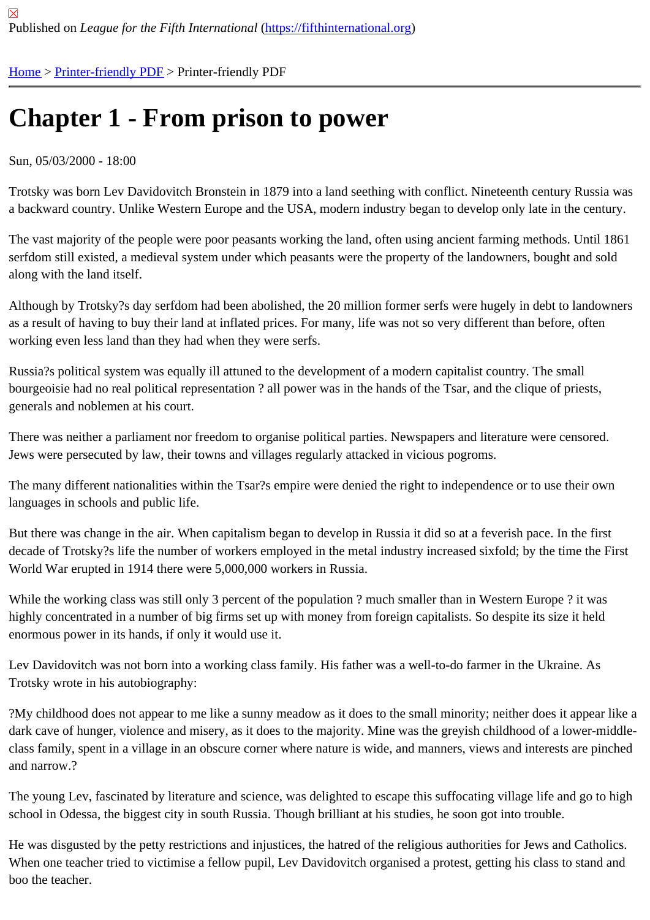# [Ch](https://fifthinternational.org/)[apter 1 - Fr](https://fifthinternational.org/printpdf)om prison to power

## Sun, 05/03/2000 - 18:00

Trotsky was born Lev Davidovitch Bronstein in 1879 into a land seething with conflict. Nineteenth century Russia v a backward country. Unlike Western Europe and the USA, modern industry began to develop only late in the centu

The vast majority of the people were poor peasants working the land, often using ancient farming methods. Until 1 serfdom still existed, a medieval system under which peasants were the property of the landowners, bought and s along with the land itself.

Although by Trotsky?s day serfdom had been abolished, the 20 million former serfs were hugely in debt to landow as a result of having to buy their land at inflated prices. For many, life was not so very different than before, often working even less land than they had when they were serfs.

Russia?s political system was equally ill attuned to the development of a modern capitalist country. The small bourgeoisie had no real political representation ? all power was in the hands of the Tsar, and the clique of priests, generals and noblemen at his court.

There was neither a parliament nor freedom to organise political parties. Newspapers and literature were censored Jews were persecuted by law, their towns and villages regularly attacked in vicious pogroms.

The many different nationalities within the Tsar?s empire were denied the right to independence or to use their own languages in schools and public life.

But there was change in the air. When capitalism began to develop in Russia it did so at a feverish pace. In the firs decade of Trotsky?s life the number of workers employed in the metal industry increased sixfold; by the time the F World War erupted in 1914 there were 5,000,000 workers in Russia.

While the working class was still only 3 percent of the population ? much smaller than in Western Europe ? it was highly concentrated in a number of big firms set up with money from foreign capitalists. So despite its size it held enormous power in its hands, if only it would use it.

Lev Davidovitch was not born into a working class family. His father was a well-to-do farmer in the Ukraine. As Trotsky wrote in his autobiography:

?My childhood does not appear to me like a sunny meadow as it does to the small minority; neither does it appear dark cave of hunger, violence and misery, as it does to the majority. Mine was the greyish childhood of a lower-mid class family, spent in a village in an obscure corner where nature is wide, and manners, views and interests are pi and narrow.?

The young Lev, fascinated by literature and science, was delighted to escape this suffocating village life and go to school in Odessa, the biggest city in south Russia. Though brilliant at his studies, he soon got into trouble.

He was disgusted by the petty restrictions and injustices, the hatred of the religious authorities for Jews and Catho When one teacher tried to victimise a fellow pupil, Lev Davidovitch organised a protest, getting his class to stand a boo the teacher.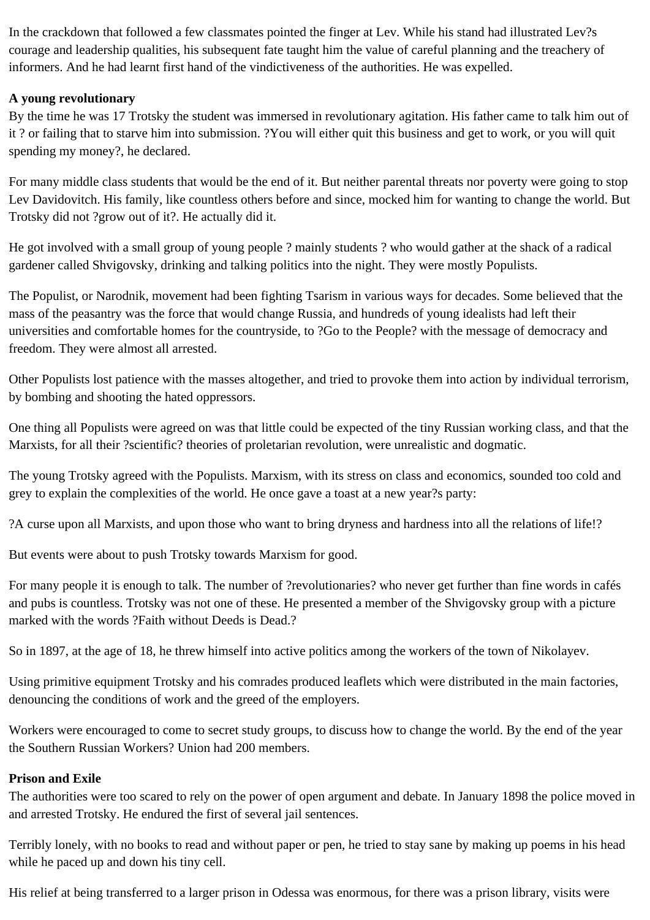In the crackdown that followed a few classmates pointed the finger at Lev. While his stand had illustrated Lev?s courage and leadership qualities, his subsequent fate taught him the value of careful planning and the treachery of informers. And he had learnt first hand of the vindictiveness of the authorities. He was expelled.

# **A young revolutionary**

By the time he was 17 Trotsky the student was immersed in revolutionary agitation. His father came to talk him out of it ? or failing that to starve him into submission. ?You will either quit this business and get to work, or you will quit spending my money?, he declared.

For many middle class students that would be the end of it. But neither parental threats nor poverty were going to stop Lev Davidovitch. His family, like countless others before and since, mocked him for wanting to change the world. But Trotsky did not ?grow out of it?. He actually did it.

He got involved with a small group of young people ? mainly students ? who would gather at the shack of a radical gardener called Shvigovsky, drinking and talking politics into the night. They were mostly Populists.

The Populist, or Narodnik, movement had been fighting Tsarism in various ways for decades. Some believed that the mass of the peasantry was the force that would change Russia, and hundreds of young idealists had left their universities and comfortable homes for the countryside, to ?Go to the People? with the message of democracy and freedom. They were almost all arrested.

Other Populists lost patience with the masses altogether, and tried to provoke them into action by individual terrorism, by bombing and shooting the hated oppressors.

One thing all Populists were agreed on was that little could be expected of the tiny Russian working class, and that the Marxists, for all their ?scientific? theories of proletarian revolution, were unrealistic and dogmatic.

The young Trotsky agreed with the Populists. Marxism, with its stress on class and economics, sounded too cold and grey to explain the complexities of the world. He once gave a toast at a new year?s party:

?A curse upon all Marxists, and upon those who want to bring dryness and hardness into all the relations of life!?

But events were about to push Trotsky towards Marxism for good.

For many people it is enough to talk. The number of ?revolutionaries? who never get further than fine words in cafés and pubs is countless. Trotsky was not one of these. He presented a member of the Shvigovsky group with a picture marked with the words ?Faith without Deeds is Dead.?

So in 1897, at the age of 18, he threw himself into active politics among the workers of the town of Nikolayev.

Using primitive equipment Trotsky and his comrades produced leaflets which were distributed in the main factories, denouncing the conditions of work and the greed of the employers.

Workers were encouraged to come to secret study groups, to discuss how to change the world. By the end of the year the Southern Russian Workers? Union had 200 members.

# **Prison and Exile**

The authorities were too scared to rely on the power of open argument and debate. In January 1898 the police moved in and arrested Trotsky. He endured the first of several jail sentences.

Terribly lonely, with no books to read and without paper or pen, he tried to stay sane by making up poems in his head while he paced up and down his tiny cell.

His relief at being transferred to a larger prison in Odessa was enormous, for there was a prison library, visits were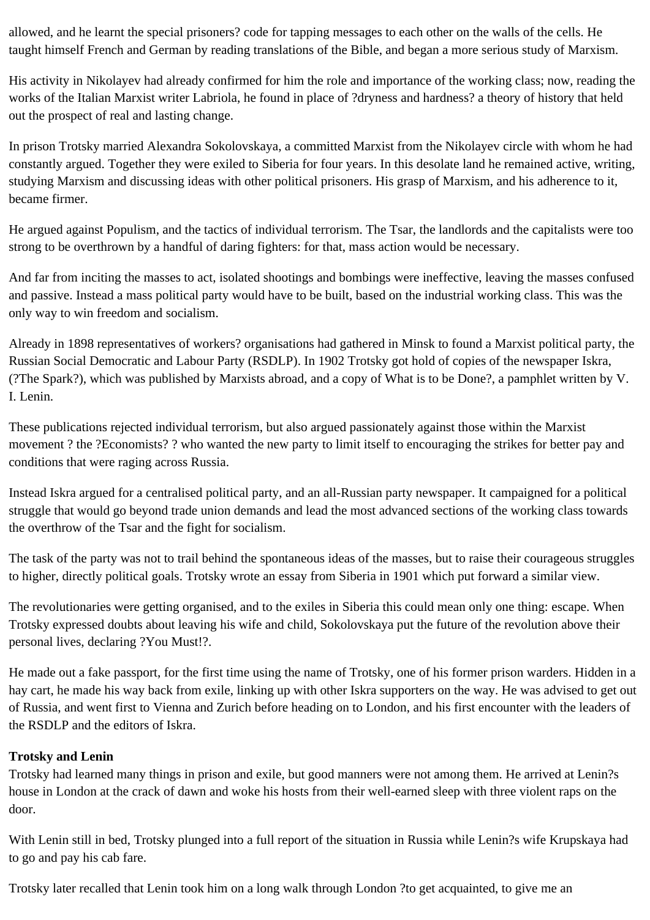allowed, and he learnt the special prisoners? code for tapping messages to each other on the walls of the cells. He taught himself French and German by reading translations of the Bible, and began a more serious study of Marxism.

His activity in Nikolayev had already confirmed for him the role and importance of the working class; now, reading the works of the Italian Marxist writer Labriola, he found in place of ?dryness and hardness? a theory of history that held out the prospect of real and lasting change.

In prison Trotsky married Alexandra Sokolovskaya, a committed Marxist from the Nikolayev circle with whom he had constantly argued. Together they were exiled to Siberia for four years. In this desolate land he remained active, writing, studying Marxism and discussing ideas with other political prisoners. His grasp of Marxism, and his adherence to it, became firmer.

He argued against Populism, and the tactics of individual terrorism. The Tsar, the landlords and the capitalists were too strong to be overthrown by a handful of daring fighters: for that, mass action would be necessary.

And far from inciting the masses to act, isolated shootings and bombings were ineffective, leaving the masses confused and passive. Instead a mass political party would have to be built, based on the industrial working class. This was the only way to win freedom and socialism.

Already in 1898 representatives of workers? organisations had gathered in Minsk to found a Marxist political party, the Russian Social Democratic and Labour Party (RSDLP). In 1902 Trotsky got hold of copies of the newspaper Iskra, (?The Spark?), which was published by Marxists abroad, and a copy of What is to be Done?, a pamphlet written by V. I. Lenin.

These publications rejected individual terrorism, but also argued passionately against those within the Marxist movement ? the ?Economists? ? who wanted the new party to limit itself to encouraging the strikes for better pay and conditions that were raging across Russia.

Instead Iskra argued for a centralised political party, and an all-Russian party newspaper. It campaigned for a political struggle that would go beyond trade union demands and lead the most advanced sections of the working class towards the overthrow of the Tsar and the fight for socialism.

The task of the party was not to trail behind the spontaneous ideas of the masses, but to raise their courageous struggles to higher, directly political goals. Trotsky wrote an essay from Siberia in 1901 which put forward a similar view.

The revolutionaries were getting organised, and to the exiles in Siberia this could mean only one thing: escape. When Trotsky expressed doubts about leaving his wife and child, Sokolovskaya put the future of the revolution above their personal lives, declaring ?You Must!?.

He made out a fake passport, for the first time using the name of Trotsky, one of his former prison warders. Hidden in a hay cart, he made his way back from exile, linking up with other Iskra supporters on the way. He was advised to get out of Russia, and went first to Vienna and Zurich before heading on to London, and his first encounter with the leaders of the RSDLP and the editors of Iskra.

# **Trotsky and Lenin**

Trotsky had learned many things in prison and exile, but good manners were not among them. He arrived at Lenin?s house in London at the crack of dawn and woke his hosts from their well-earned sleep with three violent raps on the door.

With Lenin still in bed, Trotsky plunged into a full report of the situation in Russia while Lenin?s wife Krupskaya had to go and pay his cab fare.

Trotsky later recalled that Lenin took him on a long walk through London ?to get acquainted, to give me an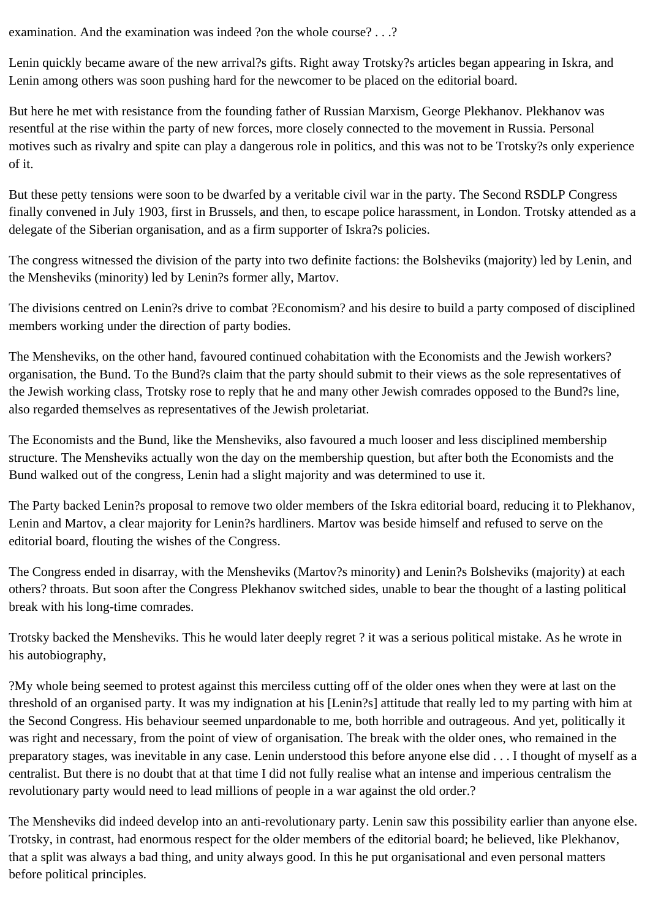examination. And the examination was indeed ?on the whole course? . . .?

Lenin quickly became aware of the new arrival?s gifts. Right away Trotsky?s articles began appearing in Iskra, and Lenin among others was soon pushing hard for the newcomer to be placed on the editorial board.

But here he met with resistance from the founding father of Russian Marxism, George Plekhanov. Plekhanov was resentful at the rise within the party of new forces, more closely connected to the movement in Russia. Personal motives such as rivalry and spite can play a dangerous role in politics, and this was not to be Trotsky?s only experience of it.

But these petty tensions were soon to be dwarfed by a veritable civil war in the party. The Second RSDLP Congress finally convened in July 1903, first in Brussels, and then, to escape police harassment, in London. Trotsky attended as a delegate of the Siberian organisation, and as a firm supporter of Iskra?s policies.

The congress witnessed the division of the party into two definite factions: the Bolsheviks (majority) led by Lenin, and the Mensheviks (minority) led by Lenin?s former ally, Martov.

The divisions centred on Lenin?s drive to combat ?Economism? and his desire to build a party composed of disciplined members working under the direction of party bodies.

The Mensheviks, on the other hand, favoured continued cohabitation with the Economists and the Jewish workers? organisation, the Bund. To the Bund?s claim that the party should submit to their views as the sole representatives of the Jewish working class, Trotsky rose to reply that he and many other Jewish comrades opposed to the Bund?s line, also regarded themselves as representatives of the Jewish proletariat.

The Economists and the Bund, like the Mensheviks, also favoured a much looser and less disciplined membership structure. The Mensheviks actually won the day on the membership question, but after both the Economists and the Bund walked out of the congress, Lenin had a slight majority and was determined to use it.

The Party backed Lenin?s proposal to remove two older members of the Iskra editorial board, reducing it to Plekhanov, Lenin and Martov, a clear majority for Lenin?s hardliners. Martov was beside himself and refused to serve on the editorial board, flouting the wishes of the Congress.

The Congress ended in disarray, with the Mensheviks (Martov?s minority) and Lenin?s Bolsheviks (majority) at each others? throats. But soon after the Congress Plekhanov switched sides, unable to bear the thought of a lasting political break with his long-time comrades.

Trotsky backed the Mensheviks. This he would later deeply regret ? it was a serious political mistake. As he wrote in his autobiography,

?My whole being seemed to protest against this merciless cutting off of the older ones when they were at last on the threshold of an organised party. It was my indignation at his [Lenin?s] attitude that really led to my parting with him at the Second Congress. His behaviour seemed unpardonable to me, both horrible and outrageous. And yet, politically it was right and necessary, from the point of view of organisation. The break with the older ones, who remained in the preparatory stages, was inevitable in any case. Lenin understood this before anyone else did . . . I thought of myself as a centralist. But there is no doubt that at that time I did not fully realise what an intense and imperious centralism the revolutionary party would need to lead millions of people in a war against the old order.?

The Mensheviks did indeed develop into an anti-revolutionary party. Lenin saw this possibility earlier than anyone else. Trotsky, in contrast, had enormous respect for the older members of the editorial board; he believed, like Plekhanov, that a split was always a bad thing, and unity always good. In this he put organisational and even personal matters before political principles.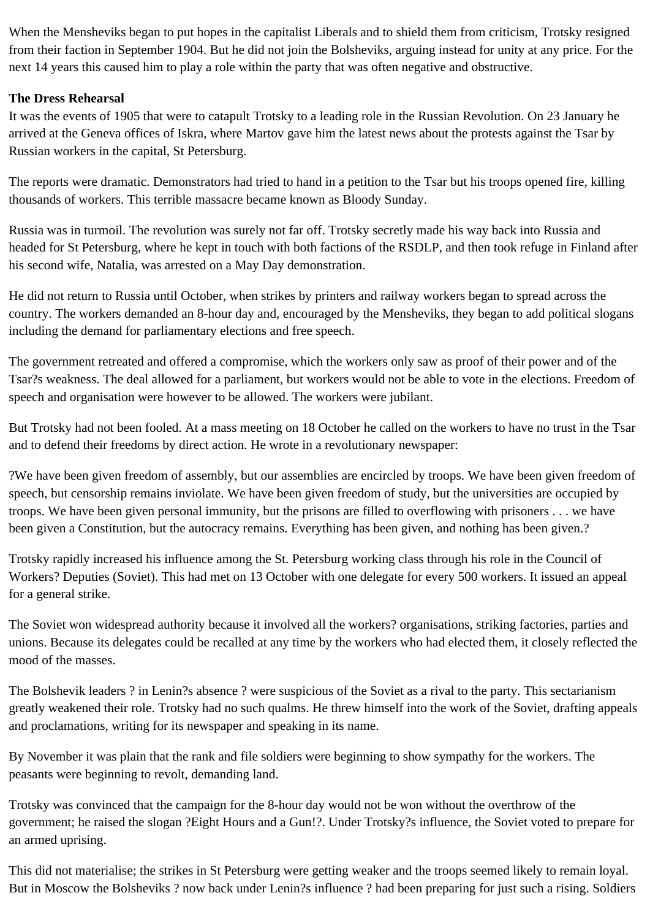When the Mensheviks began to put hopes in the capitalist Liberals and to shield them from criticism, Trotsky resigned from their faction in September 1904. But he did not join the Bolsheviks, arguing instead for unity at any price. For the next 14 years this caused him to play a role within the party that was often negative and obstructive.

# **The Dress Rehearsal**

It was the events of 1905 that were to catapult Trotsky to a leading role in the Russian Revolution. On 23 January he arrived at the Geneva offices of Iskra, where Martov gave him the latest news about the protests against the Tsar by Russian workers in the capital, St Petersburg.

The reports were dramatic. Demonstrators had tried to hand in a petition to the Tsar but his troops opened fire, killing thousands of workers. This terrible massacre became known as Bloody Sunday.

Russia was in turmoil. The revolution was surely not far off. Trotsky secretly made his way back into Russia and headed for St Petersburg, where he kept in touch with both factions of the RSDLP, and then took refuge in Finland after his second wife, Natalia, was arrested on a May Day demonstration.

He did not return to Russia until October, when strikes by printers and railway workers began to spread across the country. The workers demanded an 8-hour day and, encouraged by the Mensheviks, they began to add political slogans including the demand for parliamentary elections and free speech.

The government retreated and offered a compromise, which the workers only saw as proof of their power and of the Tsar?s weakness. The deal allowed for a parliament, but workers would not be able to vote in the elections. Freedom of speech and organisation were however to be allowed. The workers were jubilant.

But Trotsky had not been fooled. At a mass meeting on 18 October he called on the workers to have no trust in the Tsar and to defend their freedoms by direct action. He wrote in a revolutionary newspaper:

?We have been given freedom of assembly, but our assemblies are encircled by troops. We have been given freedom of speech, but censorship remains inviolate. We have been given freedom of study, but the universities are occupied by troops. We have been given personal immunity, but the prisons are filled to overflowing with prisoners . . . we have been given a Constitution, but the autocracy remains. Everything has been given, and nothing has been given.?

Trotsky rapidly increased his influence among the St. Petersburg working class through his role in the Council of Workers? Deputies (Soviet). This had met on 13 October with one delegate for every 500 workers. It issued an appeal for a general strike.

The Soviet won widespread authority because it involved all the workers? organisations, striking factories, parties and unions. Because its delegates could be recalled at any time by the workers who had elected them, it closely reflected the mood of the masses.

The Bolshevik leaders ? in Lenin?s absence ? were suspicious of the Soviet as a rival to the party. This sectarianism greatly weakened their role. Trotsky had no such qualms. He threw himself into the work of the Soviet, drafting appeals and proclamations, writing for its newspaper and speaking in its name.

By November it was plain that the rank and file soldiers were beginning to show sympathy for the workers. The peasants were beginning to revolt, demanding land.

Trotsky was convinced that the campaign for the 8-hour day would not be won without the overthrow of the government; he raised the slogan ?Eight Hours and a Gun!?. Under Trotsky?s influence, the Soviet voted to prepare for an armed uprising.

This did not materialise; the strikes in St Petersburg were getting weaker and the troops seemed likely to remain loyal. But in Moscow the Bolsheviks ? now back under Lenin?s influence ? had been preparing for just such a rising. Soldiers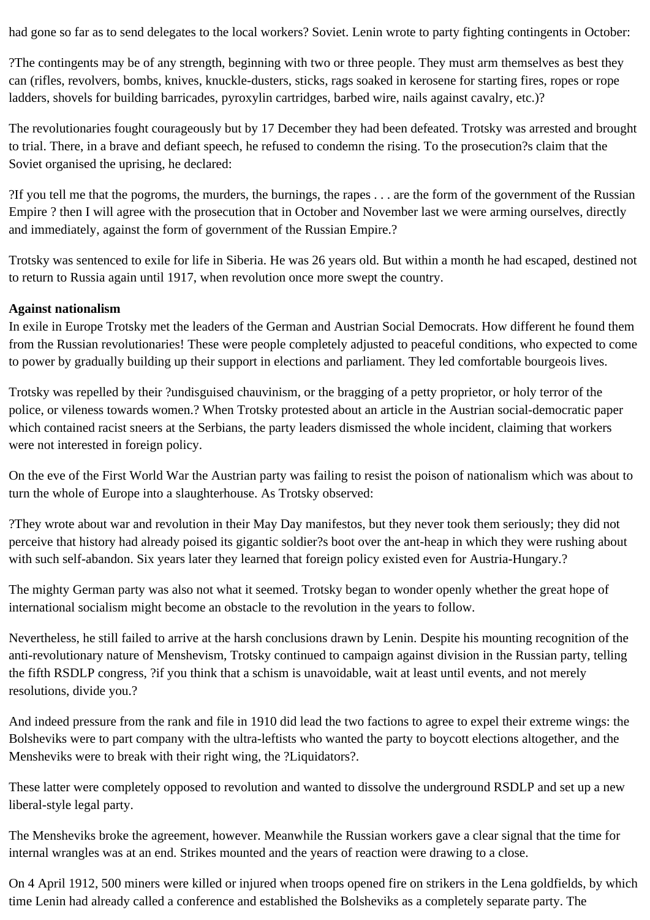had gone so far as to send delegates to the local workers? Soviet. Lenin wrote to party fighting contingents in October:

?The contingents may be of any strength, beginning with two or three people. They must arm themselves as best they can (rifles, revolvers, bombs, knives, knuckle-dusters, sticks, rags soaked in kerosene for starting fires, ropes or rope ladders, shovels for building barricades, pyroxylin cartridges, barbed wire, nails against cavalry, etc.)?

The revolutionaries fought courageously but by 17 December they had been defeated. Trotsky was arrested and brought to trial. There, in a brave and defiant speech, he refused to condemn the rising. To the prosecution?s claim that the Soviet organised the uprising, he declared:

?If you tell me that the pogroms, the murders, the burnings, the rapes . . . are the form of the government of the Russian Empire ? then I will agree with the prosecution that in October and November last we were arming ourselves, directly and immediately, against the form of government of the Russian Empire.?

Trotsky was sentenced to exile for life in Siberia. He was 26 years old. But within a month he had escaped, destined not to return to Russia again until 1917, when revolution once more swept the country.

# **Against nationalism**

In exile in Europe Trotsky met the leaders of the German and Austrian Social Democrats. How different he found them from the Russian revolutionaries! These were people completely adjusted to peaceful conditions, who expected to come to power by gradually building up their support in elections and parliament. They led comfortable bourgeois lives.

Trotsky was repelled by their ?undisguised chauvinism, or the bragging of a petty proprietor, or holy terror of the police, or vileness towards women.? When Trotsky protested about an article in the Austrian social-democratic paper which contained racist sneers at the Serbians, the party leaders dismissed the whole incident, claiming that workers were not interested in foreign policy.

On the eve of the First World War the Austrian party was failing to resist the poison of nationalism which was about to turn the whole of Europe into a slaughterhouse. As Trotsky observed:

?They wrote about war and revolution in their May Day manifestos, but they never took them seriously; they did not perceive that history had already poised its gigantic soldier?s boot over the ant-heap in which they were rushing about with such self-abandon. Six years later they learned that foreign policy existed even for Austria-Hungary.?

The mighty German party was also not what it seemed. Trotsky began to wonder openly whether the great hope of international socialism might become an obstacle to the revolution in the years to follow.

Nevertheless, he still failed to arrive at the harsh conclusions drawn by Lenin. Despite his mounting recognition of the anti-revolutionary nature of Menshevism, Trotsky continued to campaign against division in the Russian party, telling the fifth RSDLP congress, ?if you think that a schism is unavoidable, wait at least until events, and not merely resolutions, divide you.?

And indeed pressure from the rank and file in 1910 did lead the two factions to agree to expel their extreme wings: the Bolsheviks were to part company with the ultra-leftists who wanted the party to boycott elections altogether, and the Mensheviks were to break with their right wing, the ?Liquidators?.

These latter were completely opposed to revolution and wanted to dissolve the underground RSDLP and set up a new liberal-style legal party.

The Mensheviks broke the agreement, however. Meanwhile the Russian workers gave a clear signal that the time for internal wrangles was at an end. Strikes mounted and the years of reaction were drawing to a close.

On 4 April 1912, 500 miners were killed or injured when troops opened fire on strikers in the Lena goldfields, by which time Lenin had already called a conference and established the Bolsheviks as a completely separate party. The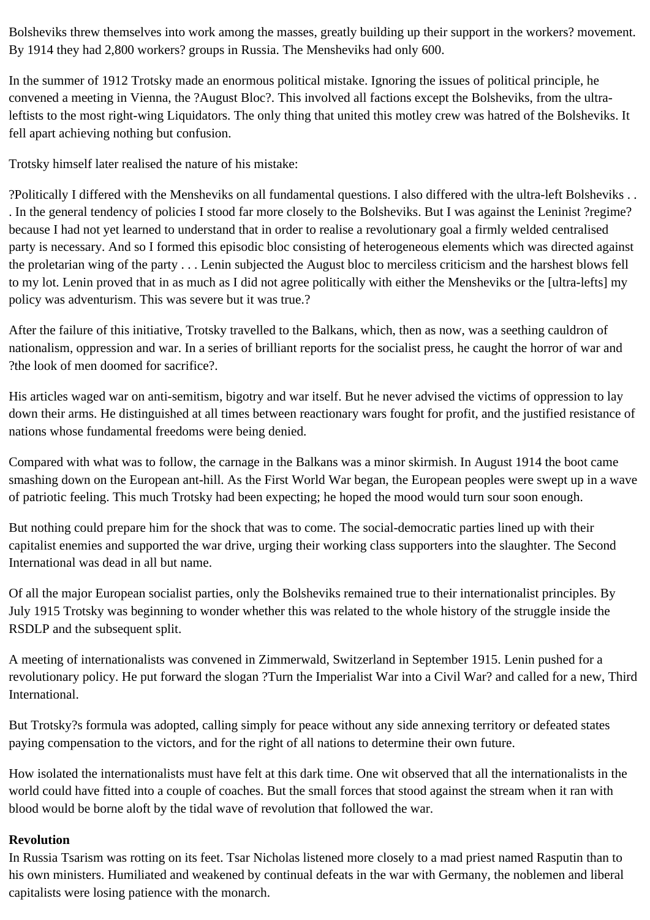Bolsheviks threw themselves into work among the masses, greatly building up their support in the workers? movement. By 1914 they had 2,800 workers? groups in Russia. The Mensheviks had only 600.

In the summer of 1912 Trotsky made an enormous political mistake. Ignoring the issues of political principle, he convened a meeting in Vienna, the ?August Bloc?. This involved all factions except the Bolsheviks, from the ultraleftists to the most right-wing Liquidators. The only thing that united this motley crew was hatred of the Bolsheviks. It fell apart achieving nothing but confusion.

Trotsky himself later realised the nature of his mistake:

?Politically I differed with the Mensheviks on all fundamental questions. I also differed with the ultra-left Bolsheviks . . . In the general tendency of policies I stood far more closely to the Bolsheviks. But I was against the Leninist ?regime? because I had not yet learned to understand that in order to realise a revolutionary goal a firmly welded centralised party is necessary. And so I formed this episodic bloc consisting of heterogeneous elements which was directed against the proletarian wing of the party . . . Lenin subjected the August bloc to merciless criticism and the harshest blows fell to my lot. Lenin proved that in as much as I did not agree politically with either the Mensheviks or the [ultra-lefts] my policy was adventurism. This was severe but it was true.?

After the failure of this initiative, Trotsky travelled to the Balkans, which, then as now, was a seething cauldron of nationalism, oppression and war. In a series of brilliant reports for the socialist press, he caught the horror of war and ?the look of men doomed for sacrifice?.

His articles waged war on anti-semitism, bigotry and war itself. But he never advised the victims of oppression to lay down their arms. He distinguished at all times between reactionary wars fought for profit, and the justified resistance of nations whose fundamental freedoms were being denied.

Compared with what was to follow, the carnage in the Balkans was a minor skirmish. In August 1914 the boot came smashing down on the European ant-hill. As the First World War began, the European peoples were swept up in a wave of patriotic feeling. This much Trotsky had been expecting; he hoped the mood would turn sour soon enough.

But nothing could prepare him for the shock that was to come. The social-democratic parties lined up with their capitalist enemies and supported the war drive, urging their working class supporters into the slaughter. The Second International was dead in all but name.

Of all the major European socialist parties, only the Bolsheviks remained true to their internationalist principles. By July 1915 Trotsky was beginning to wonder whether this was related to the whole history of the struggle inside the RSDLP and the subsequent split.

A meeting of internationalists was convened in Zimmerwald, Switzerland in September 1915. Lenin pushed for a revolutionary policy. He put forward the slogan ?Turn the Imperialist War into a Civil War? and called for a new, Third International.

But Trotsky?s formula was adopted, calling simply for peace without any side annexing territory or defeated states paying compensation to the victors, and for the right of all nations to determine their own future.

How isolated the internationalists must have felt at this dark time. One wit observed that all the internationalists in the world could have fitted into a couple of coaches. But the small forces that stood against the stream when it ran with blood would be borne aloft by the tidal wave of revolution that followed the war.

# **Revolution**

In Russia Tsarism was rotting on its feet. Tsar Nicholas listened more closely to a mad priest named Rasputin than to his own ministers. Humiliated and weakened by continual defeats in the war with Germany, the noblemen and liberal capitalists were losing patience with the monarch.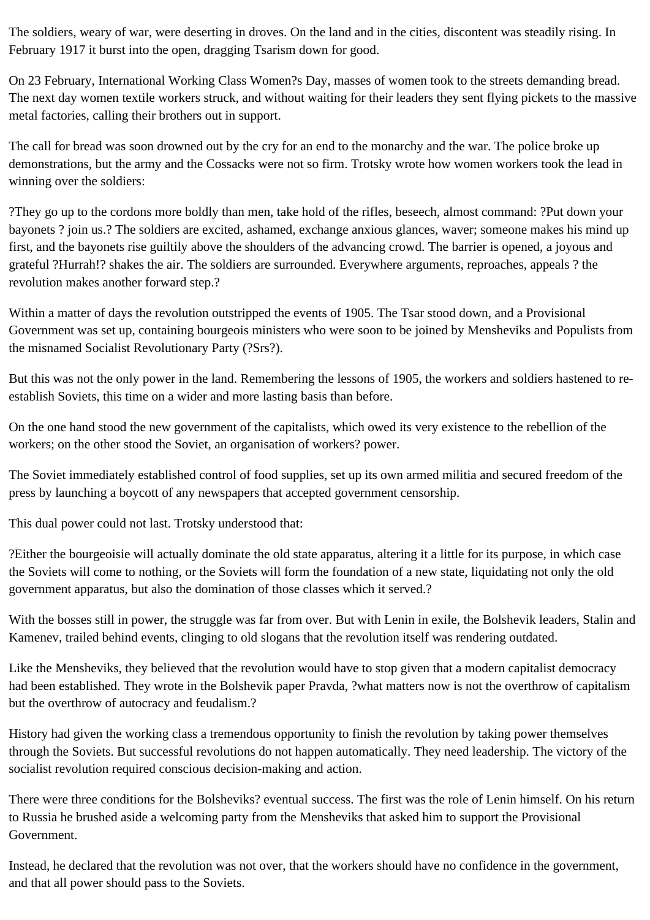The soldiers, weary of war, were deserting in droves. On the land and in the cities, discontent was steadily rising. In February 1917 it burst into the open, dragging Tsarism down for good.

On 23 February, International Working Class Women?s Day, masses of women took to the streets demanding bread. The next day women textile workers struck, and without waiting for their leaders they sent flying pickets to the massive metal factories, calling their brothers out in support.

The call for bread was soon drowned out by the cry for an end to the monarchy and the war. The police broke up demonstrations, but the army and the Cossacks were not so firm. Trotsky wrote how women workers took the lead in winning over the soldiers:

?They go up to the cordons more boldly than men, take hold of the rifles, beseech, almost command: ?Put down your bayonets ? join us.? The soldiers are excited, ashamed, exchange anxious glances, waver; someone makes his mind up first, and the bayonets rise guiltily above the shoulders of the advancing crowd. The barrier is opened, a joyous and grateful ?Hurrah!? shakes the air. The soldiers are surrounded. Everywhere arguments, reproaches, appeals ? the revolution makes another forward step.?

Within a matter of days the revolution outstripped the events of 1905. The Tsar stood down, and a Provisional Government was set up, containing bourgeois ministers who were soon to be joined by Mensheviks and Populists from the misnamed Socialist Revolutionary Party (?Srs?).

But this was not the only power in the land. Remembering the lessons of 1905, the workers and soldiers hastened to reestablish Soviets, this time on a wider and more lasting basis than before.

On the one hand stood the new government of the capitalists, which owed its very existence to the rebellion of the workers; on the other stood the Soviet, an organisation of workers? power.

The Soviet immediately established control of food supplies, set up its own armed militia and secured freedom of the press by launching a boycott of any newspapers that accepted government censorship.

This dual power could not last. Trotsky understood that:

?Either the bourgeoisie will actually dominate the old state apparatus, altering it a little for its purpose, in which case the Soviets will come to nothing, or the Soviets will form the foundation of a new state, liquidating not only the old government apparatus, but also the domination of those classes which it served.?

With the bosses still in power, the struggle was far from over. But with Lenin in exile, the Bolshevik leaders, Stalin and Kamenev, trailed behind events, clinging to old slogans that the revolution itself was rendering outdated.

Like the Mensheviks, they believed that the revolution would have to stop given that a modern capitalist democracy had been established. They wrote in the Bolshevik paper Pravda, ?what matters now is not the overthrow of capitalism but the overthrow of autocracy and feudalism.?

History had given the working class a tremendous opportunity to finish the revolution by taking power themselves through the Soviets. But successful revolutions do not happen automatically. They need leadership. The victory of the socialist revolution required conscious decision-making and action.

There were three conditions for the Bolsheviks? eventual success. The first was the role of Lenin himself. On his return to Russia he brushed aside a welcoming party from the Mensheviks that asked him to support the Provisional Government.

Instead, he declared that the revolution was not over, that the workers should have no confidence in the government, and that all power should pass to the Soviets.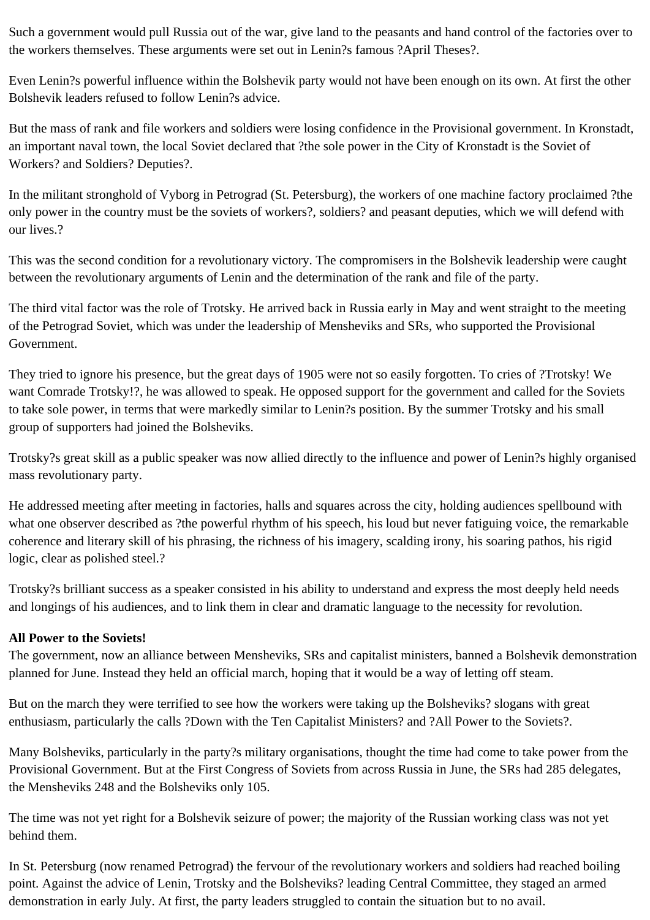Such a government would pull Russia out of the war, give land to the peasants and hand control of the factories over to the workers themselves. These arguments were set out in Lenin?s famous ?April Theses?.

Even Lenin?s powerful influence within the Bolshevik party would not have been enough on its own. At first the other Bolshevik leaders refused to follow Lenin?s advice.

But the mass of rank and file workers and soldiers were losing confidence in the Provisional government. In Kronstadt, an important naval town, the local Soviet declared that ?the sole power in the City of Kronstadt is the Soviet of Workers? and Soldiers? Deputies?.

In the militant stronghold of Vyborg in Petrograd (St. Petersburg), the workers of one machine factory proclaimed ?the only power in the country must be the soviets of workers?, soldiers? and peasant deputies, which we will defend with our lives.?

This was the second condition for a revolutionary victory. The compromisers in the Bolshevik leadership were caught between the revolutionary arguments of Lenin and the determination of the rank and file of the party.

The third vital factor was the role of Trotsky. He arrived back in Russia early in May and went straight to the meeting of the Petrograd Soviet, which was under the leadership of Mensheviks and SRs, who supported the Provisional Government.

They tried to ignore his presence, but the great days of 1905 were not so easily forgotten. To cries of ?Trotsky! We want Comrade Trotsky!?, he was allowed to speak. He opposed support for the government and called for the Soviets to take sole power, in terms that were markedly similar to Lenin?s position. By the summer Trotsky and his small group of supporters had joined the Bolsheviks.

Trotsky?s great skill as a public speaker was now allied directly to the influence and power of Lenin?s highly organised mass revolutionary party.

He addressed meeting after meeting in factories, halls and squares across the city, holding audiences spellbound with what one observer described as ?the powerful rhythm of his speech, his loud but never fatiguing voice, the remarkable coherence and literary skill of his phrasing, the richness of his imagery, scalding irony, his soaring pathos, his rigid logic, clear as polished steel.?

Trotsky?s brilliant success as a speaker consisted in his ability to understand and express the most deeply held needs and longings of his audiences, and to link them in clear and dramatic language to the necessity for revolution.

# **All Power to the Soviets!**

The government, now an alliance between Mensheviks, SRs and capitalist ministers, banned a Bolshevik demonstration planned for June. Instead they held an official march, hoping that it would be a way of letting off steam.

But on the march they were terrified to see how the workers were taking up the Bolsheviks? slogans with great enthusiasm, particularly the calls ?Down with the Ten Capitalist Ministers? and ?All Power to the Soviets?.

Many Bolsheviks, particularly in the party?s military organisations, thought the time had come to take power from the Provisional Government. But at the First Congress of Soviets from across Russia in June, the SRs had 285 delegates, the Mensheviks 248 and the Bolsheviks only 105.

The time was not yet right for a Bolshevik seizure of power; the majority of the Russian working class was not yet behind them.

In St. Petersburg (now renamed Petrograd) the fervour of the revolutionary workers and soldiers had reached boiling point. Against the advice of Lenin, Trotsky and the Bolsheviks? leading Central Committee, they staged an armed demonstration in early July. At first, the party leaders struggled to contain the situation but to no avail.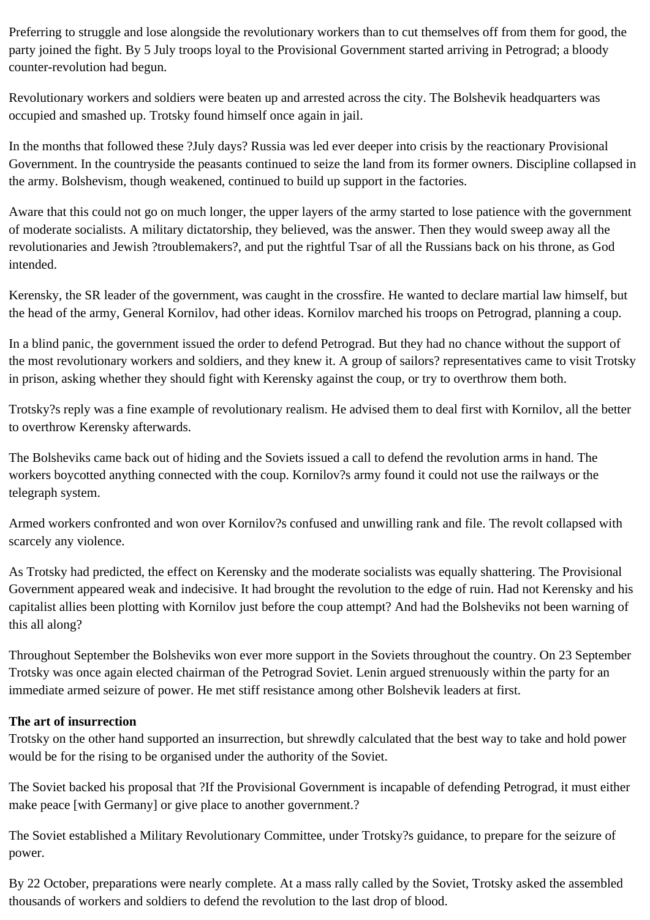Preferring to struggle and lose alongside the revolutionary workers than to cut themselves off from them for good, the party joined the fight. By 5 July troops loyal to the Provisional Government started arriving in Petrograd; a bloody counter-revolution had begun.

Revolutionary workers and soldiers were beaten up and arrested across the city. The Bolshevik headquarters was occupied and smashed up. Trotsky found himself once again in jail.

In the months that followed these ?July days? Russia was led ever deeper into crisis by the reactionary Provisional Government. In the countryside the peasants continued to seize the land from its former owners. Discipline collapsed in the army. Bolshevism, though weakened, continued to build up support in the factories.

Aware that this could not go on much longer, the upper layers of the army started to lose patience with the government of moderate socialists. A military dictatorship, they believed, was the answer. Then they would sweep away all the revolutionaries and Jewish ?troublemakers?, and put the rightful Tsar of all the Russians back on his throne, as God intended.

Kerensky, the SR leader of the government, was caught in the crossfire. He wanted to declare martial law himself, but the head of the army, General Kornilov, had other ideas. Kornilov marched his troops on Petrograd, planning a coup.

In a blind panic, the government issued the order to defend Petrograd. But they had no chance without the support of the most revolutionary workers and soldiers, and they knew it. A group of sailors? representatives came to visit Trotsky in prison, asking whether they should fight with Kerensky against the coup, or try to overthrow them both.

Trotsky?s reply was a fine example of revolutionary realism. He advised them to deal first with Kornilov, all the better to overthrow Kerensky afterwards.

The Bolsheviks came back out of hiding and the Soviets issued a call to defend the revolution arms in hand. The workers boycotted anything connected with the coup. Kornilov?s army found it could not use the railways or the telegraph system.

Armed workers confronted and won over Kornilov?s confused and unwilling rank and file. The revolt collapsed with scarcely any violence.

As Trotsky had predicted, the effect on Kerensky and the moderate socialists was equally shattering. The Provisional Government appeared weak and indecisive. It had brought the revolution to the edge of ruin. Had not Kerensky and his capitalist allies been plotting with Kornilov just before the coup attempt? And had the Bolsheviks not been warning of this all along?

Throughout September the Bolsheviks won ever more support in the Soviets throughout the country. On 23 September Trotsky was once again elected chairman of the Petrograd Soviet. Lenin argued strenuously within the party for an immediate armed seizure of power. He met stiff resistance among other Bolshevik leaders at first.

# **The art of insurrection**

Trotsky on the other hand supported an insurrection, but shrewdly calculated that the best way to take and hold power would be for the rising to be organised under the authority of the Soviet.

The Soviet backed his proposal that ?If the Provisional Government is incapable of defending Petrograd, it must either make peace [with Germany] or give place to another government.?

The Soviet established a Military Revolutionary Committee, under Trotsky?s guidance, to prepare for the seizure of power.

By 22 October, preparations were nearly complete. At a mass rally called by the Soviet, Trotsky asked the assembled thousands of workers and soldiers to defend the revolution to the last drop of blood.